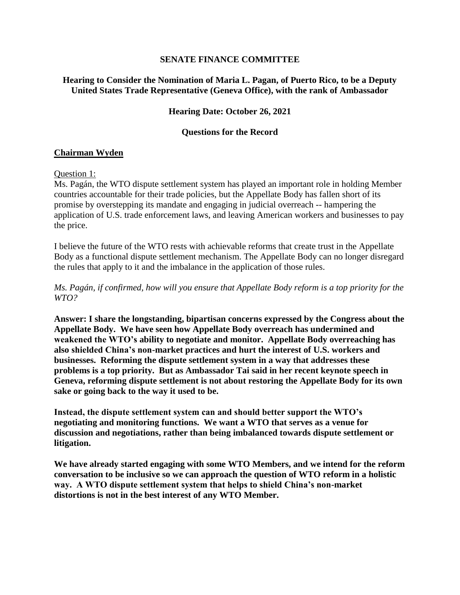### **SENATE FINANCE COMMITTEE**

## **Hearing to Consider the Nomination of Maria L. Pagan, of Puerto Rico, to be a Deputy United States Trade Representative (Geneva Office), with the rank of Ambassador**

## **Hearing Date: October 26, 2021**

## **Questions for the Record**

## **Chairman Wyden**

### Question 1:

Ms. Pagán, the WTO dispute settlement system has played an important role in holding Member countries accountable for their trade policies, but the Appellate Body has fallen short of its promise by overstepping its mandate and engaging in judicial overreach -- hampering the application of U.S. trade enforcement laws, and leaving American workers and businesses to pay the price.

I believe the future of the WTO rests with achievable reforms that create trust in the Appellate Body as a functional dispute settlement mechanism. The Appellate Body can no longer disregard the rules that apply to it and the imbalance in the application of those rules.

*Ms. Pagán, if confirmed, how will you ensure that Appellate Body reform is a top priority for the WTO?*

**Answer: I share the longstanding, bipartisan concerns expressed by the Congress about the Appellate Body. We have seen how Appellate Body overreach has undermined and weakened the WTO's ability to negotiate and monitor. Appellate Body overreaching has also shielded China's non-market practices and hurt the interest of U.S. workers and businesses. Reforming the dispute settlement system in a way that addresses these problems is a top priority. But as Ambassador Tai said in her recent keynote speech in Geneva, reforming dispute settlement is not about restoring the Appellate Body for its own sake or going back to the way it used to be.** 

**Instead, the dispute settlement system can and should better support the WTO's negotiating and monitoring functions. We want a WTO that serves as a venue for discussion and negotiations, rather than being imbalanced towards dispute settlement or litigation.** 

**We have already started engaging with some WTO Members, and we intend for the reform conversation to be inclusive so we can approach the question of WTO reform in a holistic way. A WTO dispute settlement system that helps to shield China's non-market distortions is not in the best interest of any WTO Member.**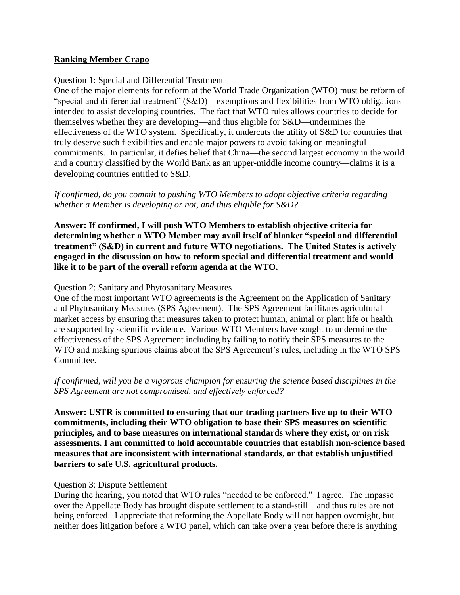## **Ranking Member Crapo**

### Question 1: Special and Differential Treatment

One of the major elements for reform at the World Trade Organization (WTO) must be reform of "special and differential treatment" (S&D)—exemptions and flexibilities from WTO obligations intended to assist developing countries. The fact that WTO rules allows countries to decide for themselves whether they are developing—and thus eligible for S&D—undermines the effectiveness of the WTO system. Specifically, it undercuts the utility of S&D for countries that truly deserve such flexibilities and enable major powers to avoid taking on meaningful commitments. In particular, it defies belief that China—the second largest economy in the world and a country classified by the World Bank as an upper-middle income country—claims it is a developing countries entitled to S&D.

*If confirmed, do you commit to pushing WTO Members to adopt objective criteria regarding whether a Member is developing or not, and thus eligible for S&D?*

**Answer: If confirmed, I will push WTO Members to establish objective criteria for determining whether a WTO Member may avail itself of blanket "special and differential treatment" (S&D) in current and future WTO negotiations. The United States is actively engaged in the discussion on how to reform special and differential treatment and would like it to be part of the overall reform agenda at the WTO.**

### Question 2: Sanitary and Phytosanitary Measures

One of the most important WTO agreements is the Agreement on the Application of Sanitary and Phytosanitary Measures (SPS Agreement). The SPS Agreement facilitates agricultural market access by ensuring that measures taken to protect human, animal or plant life or health are supported by scientific evidence. Various WTO Members have sought to undermine the effectiveness of the SPS Agreement including by failing to notify their SPS measures to the WTO and making spurious claims about the SPS Agreement's rules, including in the WTO SPS Committee.

# *If confirmed, will you be a vigorous champion for ensuring the science based disciplines in the SPS Agreement are not compromised, and effectively enforced?*

**Answer: USTR is committed to ensuring that our trading partners live up to their WTO commitments, including their WTO obligation to base their SPS measures on scientific principles, and to base measures on international standards where they exist, or on risk assessments. I am committed to hold accountable countries that establish non-science based measures that are inconsistent with international standards, or that establish unjustified barriers to safe U.S. agricultural products.**

### Question 3: Dispute Settlement

During the hearing, you noted that WTO rules "needed to be enforced." I agree. The impasse over the Appellate Body has brought dispute settlement to a stand-still—and thus rules are not being enforced. I appreciate that reforming the Appellate Body will not happen overnight, but neither does litigation before a WTO panel, which can take over a year before there is anything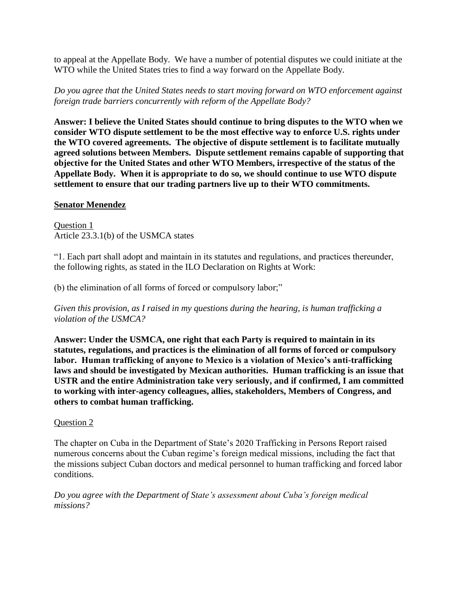to appeal at the Appellate Body. We have a number of potential disputes we could initiate at the WTO while the United States tries to find a way forward on the Appellate Body.

*Do you agree that the United States needs to start moving forward on WTO enforcement against foreign trade barriers concurrently with reform of the Appellate Body?*

**Answer: I believe the United States should continue to bring disputes to the WTO when we consider WTO dispute settlement to be the most effective way to enforce U.S. rights under the WTO covered agreements. The objective of dispute settlement is to facilitate mutually agreed solutions between Members. Dispute settlement remains capable of supporting that objective for the United States and other WTO Members, irrespective of the status of the Appellate Body. When it is appropriate to do so, we should continue to use WTO dispute settlement to ensure that our trading partners live up to their WTO commitments.**

## **Senator Menendez**

Question 1 Article 23.3.1(b) of the USMCA states

"1. Each part shall adopt and maintain in its statutes and regulations, and practices thereunder, the following rights, as stated in the ILO Declaration on Rights at Work:

(b) the elimination of all forms of forced or compulsory labor;"

*Given this provision, as I raised in my questions during the hearing, is human trafficking a violation of the USMCA?*

**Answer: Under the USMCA, one right that each Party is required to maintain in its statutes, regulations, and practices is the elimination of all forms of forced or compulsory labor. Human trafficking of anyone to Mexico is a violation of Mexico's anti-trafficking laws and should be investigated by Mexican authorities. Human trafficking is an issue that USTR and the entire Administration take very seriously, and if confirmed, I am committed to working with inter-agency colleagues, allies, stakeholders, Members of Congress, and others to combat human trafficking.**

# Question 2

The chapter on Cuba in the Department of State's 2020 Trafficking in Persons Report raised numerous concerns about the Cuban regime's foreign medical missions, including the fact that the missions subject Cuban doctors and medical personnel to human trafficking and forced labor conditions.

*Do you agree with the Department of State's assessment about Cuba's foreign medical missions?*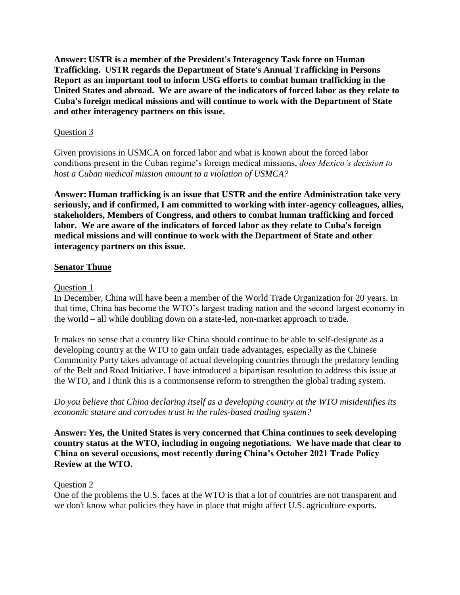**Answer: USTR is a member of the President's Interagency Task force on Human Trafficking. USTR regards the Department of State's Annual Trafficking in Persons Report as an important tool to inform USG efforts to combat human trafficking in the United States and abroad. We are aware of the indicators of forced labor as they relate to Cuba's foreign medical missions and will continue to work with the Department of State and other interagency partners on this issue.**

### Question 3

Given provisions in USMCA on forced labor and what is known about the forced labor conditions present in the Cuban regime's foreign medical missions, *does Mexico's decision to host a Cuban medical mission amount to a violation of USMCA?*

**Answer: Human trafficking is an issue that USTR and the entire Administration take very seriously, and if confirmed, I am committed to working with inter-agency colleagues, allies, stakeholders, Members of Congress, and others to combat human trafficking and forced labor. We are aware of the indicators of forced labor as they relate to Cuba's foreign medical missions and will continue to work with the Department of State and other interagency partners on this issue.**

## **Senator Thune**

### Question 1

In December, China will have been a member of the World Trade Organization for 20 years. In that time, China has become the WTO's largest trading nation and the second largest economy in the world – all while doubling down on a state-led, non-market approach to trade.

It makes no sense that a country like China should continue to be able to self-designate as a developing country at the WTO to gain unfair trade advantages, especially as the Chinese Community Party takes advantage of actual developing countries through the predatory lending of the Belt and Road Initiative. I have introduced a bipartisan resolution to address this issue at the WTO, and I think this is a commonsense reform to strengthen the global trading system.

*Do you believe that China declaring itself as a developing country at the WTO misidentifies its economic stature and corrodes trust in the rules-based trading system?* 

**Answer: Yes, the United States is very concerned that China continues to seek developing country status at the WTO, including in ongoing negotiations. We have made that clear to China on several occasions, most recently during China's October 2021 Trade Policy Review at the WTO.**

### Question 2

One of the problems the U.S. faces at the WTO is that a lot of countries are not transparent and we don't know what policies they have in place that might affect U.S. agriculture exports.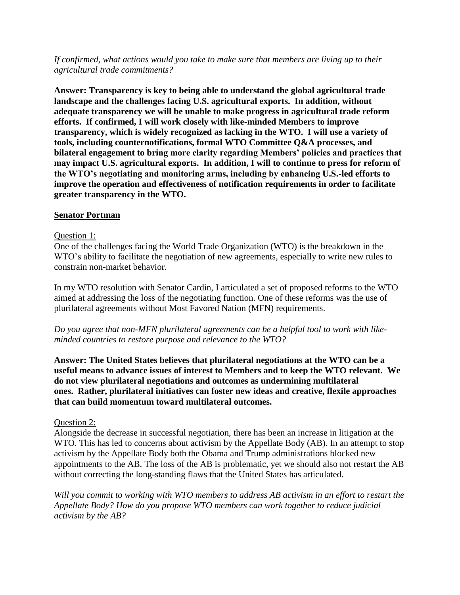*If confirmed, what actions would you take to make sure that members are living up to their agricultural trade commitments?*

**Answer: Transparency is key to being able to understand the global agricultural trade landscape and the challenges facing U.S. agricultural exports. In addition, without adequate transparency we will be unable to make progress in agricultural trade reform efforts. If confirmed, I will work closely with like-minded Members to improve transparency, which is widely recognized as lacking in the WTO. I will use a variety of tools, including counternotifications, formal WTO Committee Q&A processes, and bilateral engagement to bring more clarity regarding Members' policies and practices that may impact U.S. agricultural exports. In addition, I will to continue to press for reform of the WTO's negotiating and monitoring arms, including by enhancing U.S.-led efforts to improve the operation and effectiveness of notification requirements in order to facilitate greater transparency in the WTO.**

### **Senator Portman**

#### Question 1:

One of the challenges facing the World Trade Organization (WTO) is the breakdown in the WTO's ability to facilitate the negotiation of new agreements, especially to write new rules to constrain non-market behavior.

In my WTO resolution with Senator Cardin, I articulated a set of proposed reforms to the WTO aimed at addressing the loss of the negotiating function. One of these reforms was the use of plurilateral agreements without Most Favored Nation (MFN) requirements.

*Do you agree that non-MFN plurilateral agreements can be a helpful tool to work with likeminded countries to restore purpose and relevance to the WTO?*

**Answer: The United States believes that plurilateral negotiations at the WTO can be a useful means to advance issues of interest to Members and to keep the WTO relevant. We do not view plurilateral negotiations and outcomes as undermining multilateral ones. Rather, plurilateral initiatives can foster new ideas and creative, flexile approaches that can build momentum toward multilateral outcomes.**

### Question 2:

Alongside the decrease in successful negotiation, there has been an increase in litigation at the WTO. This has led to concerns about activism by the Appellate Body (AB). In an attempt to stop activism by the Appellate Body both the Obama and Trump administrations blocked new appointments to the AB. The loss of the AB is problematic, yet we should also not restart the AB without correcting the long-standing flaws that the United States has articulated.

*Will you commit to working with WTO members to address AB activism in an effort to restart the Appellate Body? How do you propose WTO members can work together to reduce judicial activism by the AB?*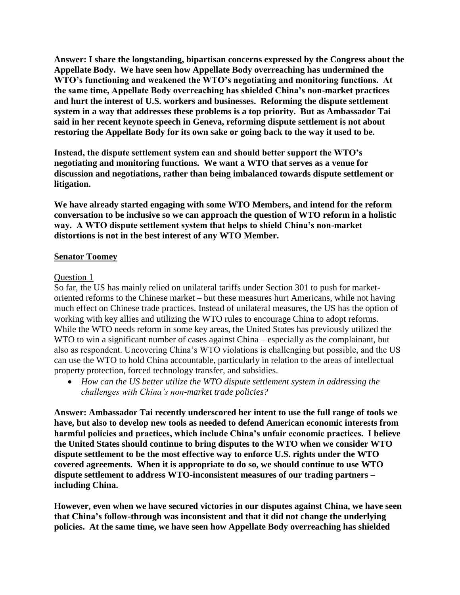**Answer: I share the longstanding, bipartisan concerns expressed by the Congress about the Appellate Body. We have seen how Appellate Body overreaching has undermined the WTO's functioning and weakened the WTO's negotiating and monitoring functions. At the same time, Appellate Body overreaching has shielded China's non-market practices and hurt the interest of U.S. workers and businesses. Reforming the dispute settlement system in a way that addresses these problems is a top priority. But as Ambassador Tai said in her recent keynote speech in Geneva, reforming dispute settlement is not about restoring the Appellate Body for its own sake or going back to the way it used to be.** 

**Instead, the dispute settlement system can and should better support the WTO's negotiating and monitoring functions. We want a WTO that serves as a venue for discussion and negotiations, rather than being imbalanced towards dispute settlement or litigation.** 

**We have already started engaging with some WTO Members, and intend for the reform conversation to be inclusive so we can approach the question of WTO reform in a holistic way. A WTO dispute settlement system that helps to shield China's non-market distortions is not in the best interest of any WTO Member.**

### **Senator Toomey**

### Question 1

So far, the US has mainly relied on unilateral tariffs under Section 301 to push for marketoriented reforms to the Chinese market – but these measures hurt Americans, while not having much effect on Chinese trade practices. Instead of unilateral measures, the US has the option of working with key allies and utilizing the WTO rules to encourage China to adopt reforms. While the WTO needs reform in some key areas, the United States has previously utilized the WTO to win a significant number of cases against China – especially as the complainant, but also as respondent. Uncovering China's WTO violations is challenging but possible, and the US can use the WTO to hold China accountable, particularly in relation to the areas of intellectual property protection, forced technology transfer, and subsidies.

• *How can the US better utilize the WTO dispute settlement system in addressing the challenges with China's non-market trade policies?*

**Answer: Ambassador Tai recently underscored her intent to use the full range of tools we have, but also to develop new tools as needed to defend American economic interests from harmful policies and practices, which include China's unfair economic practices. I believe the United States should continue to bring disputes to the WTO when we consider WTO dispute settlement to be the most effective way to enforce U.S. rights under the WTO covered agreements. When it is appropriate to do so, we should continue to use WTO dispute settlement to address WTO-inconsistent measures of our trading partners – including China.**

**However, even when we have secured victories in our disputes against China, we have seen that China's follow-through was inconsistent and that it did not change the underlying policies. At the same time, we have seen how Appellate Body overreaching has shielded**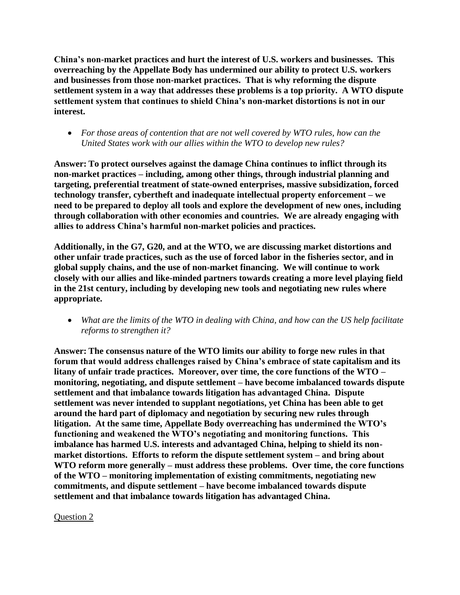**China's non-market practices and hurt the interest of U.S. workers and businesses. This overreaching by the Appellate Body has undermined our ability to protect U.S. workers and businesses from those non-market practices. That is why reforming the dispute settlement system in a way that addresses these problems is a top priority. A WTO dispute settlement system that continues to shield China's non-market distortions is not in our interest.**

• *For those areas of contention that are not well covered by WTO rules, how can the United States work with our allies within the WTO to develop new rules?*

**Answer: To protect ourselves against the damage China continues to inflict through its non-market practices – including, among other things, through industrial planning and targeting, preferential treatment of state-owned enterprises, massive subsidization, forced technology transfer, cybertheft and inadequate intellectual property enforcement – we need to be prepared to deploy all tools and explore the development of new ones, including through collaboration with other economies and countries. We are already engaging with allies to address China's harmful non-market policies and practices.** 

**Additionally, in the G7, G20, and at the WTO, we are discussing market distortions and other unfair trade practices, such as the use of forced labor in the fisheries sector, and in global supply chains, and the use of non-market financing. We will continue to work closely with our allies and like-minded partners towards creating a more level playing field in the 21st century, including by developing new tools and negotiating new rules where appropriate.**

• *What are the limits of the WTO in dealing with China, and how can the US help facilitate reforms to strengthen it?*

**Answer: The consensus nature of the WTO limits our ability to forge new rules in that forum that would address challenges raised by China's embrace of state capitalism and its litany of unfair trade practices. Moreover, over time, the core functions of the WTO – monitoring, negotiating, and dispute settlement – have become imbalanced towards dispute settlement and that imbalance towards litigation has advantaged China. Dispute settlement was never intended to supplant negotiations, yet China has been able to get around the hard part of diplomacy and negotiation by securing new rules through litigation. At the same time, Appellate Body overreaching has undermined the WTO's functioning and weakened the WTO's negotiating and monitoring functions. This imbalance has harmed U.S. interests and advantaged China, helping to shield its nonmarket distortions. Efforts to reform the dispute settlement system – and bring about WTO reform more generally – must address these problems. Over time, the core functions of the WTO – monitoring implementation of existing commitments, negotiating new commitments, and dispute settlement – have become imbalanced towards dispute settlement and that imbalance towards litigation has advantaged China.**

# Question 2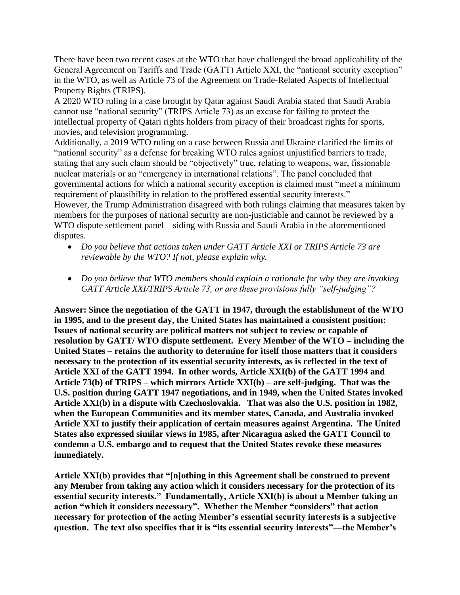There have been two recent cases at the WTO that have challenged the broad applicability of the General Agreement on Tariffs and Trade (GATT) Article XXI, the "national security exception" in the WTO, as well as Article 73 of the Agreement on Trade-Related Aspects of Intellectual Property Rights (TRIPS).

A 2020 WTO ruling in a case brought by Qatar against Saudi Arabia stated that Saudi Arabia cannot use "national security" (TRIPS Article 73) as an excuse for failing to protect the intellectual property of Qatari rights holders from piracy of their broadcast rights for sports, movies, and television programming.

Additionally, a 2019 WTO ruling on a case between Russia and Ukraine clarified the limits of "national security" as a defense for breaking WTO rules against unjustified barriers to trade, stating that any such claim should be "objectively" true, relating to weapons, war, fissionable nuclear materials or an "emergency in international relations". The panel concluded that governmental actions for which a national security exception is claimed must "meet a minimum requirement of plausibility in relation to the proffered essential security interests." However, the Trump Administration disagreed with both rulings claiming that measures taken by members for the purposes of national security are non-justiciable and cannot be reviewed by a WTO dispute settlement panel – siding with Russia and Saudi Arabia in the aforementioned disputes.

- *Do you believe that actions taken under GATT Article XXI or TRIPS Article 73 are reviewable by the WTO? If not, please explain why.*
- *Do you believe that WTO members should explain a rationale for why they are invoking GATT Article XXI/TRIPS Article 73, or are these provisions fully "self-judging"?*

**Answer: Since the negotiation of the GATT in 1947, through the establishment of the WTO in 1995, and to the present day, the United States has maintained a consistent position: Issues of national security are political matters not subject to review or capable of resolution by GATT/ WTO dispute settlement. Every Member of the WTO – including the United States – retains the authority to determine for itself those matters that it considers necessary to the protection of its essential security interests, as is reflected in the text of Article XXI of the GATT 1994. In other words, Article XXI(b) of the GATT 1994 and Article 73(b) of TRIPS – which mirrors Article XXI(b) – are self-judging. That was the U.S. position during GATT 1947 negotiations, and in 1949, when the United States invoked Article XXI(b) in a dispute with Czechoslovakia. That was also the U.S. position in 1982, when the European Communities and its member states, Canada, and Australia invoked Article XXI to justify their application of certain measures against Argentina. The United States also expressed similar views in 1985, after Nicaragua asked the GATT Council to condemn a U.S. embargo and to request that the United States revoke these measures immediately.** 

**Article XXI(b) provides that "[n]othing in this Agreement shall be construed to prevent any Member from taking any action which it considers necessary for the protection of its essential security interests." Fundamentally, Article XXI(b) is about a Member taking an action "which it considers necessary". Whether the Member "considers" that action necessary for protection of the acting Member's essential security interests is a subjective question. The text also specifies that it is "its essential security interests"—the Member's**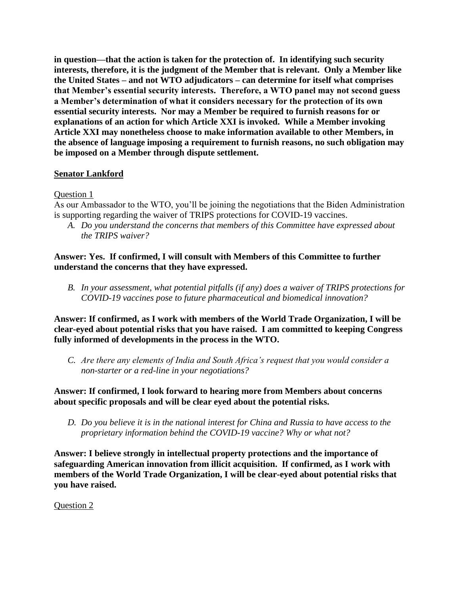**in question—that the action is taken for the protection of. In identifying such security interests, therefore, it is the judgment of the Member that is relevant. Only a Member like the United States – and not WTO adjudicators – can determine for itself what comprises that Member's essential security interests. Therefore, a WTO panel may not second guess a Member's determination of what it considers necessary for the protection of its own essential security interests. Nor may a Member be required to furnish reasons for or explanations of an action for which Article XXI is invoked. While a Member invoking Article XXI may nonetheless choose to make information available to other Members, in the absence of language imposing a requirement to furnish reasons, no such obligation may be imposed on a Member through dispute settlement.**

## **Senator Lankford**

### Question 1

As our Ambassador to the WTO, you'll be joining the negotiations that the Biden Administration is supporting regarding the waiver of TRIPS protections for COVID-19 vaccines.

*A. Do you understand the concerns that members of this Committee have expressed about the TRIPS waiver?* 

**Answer: Yes. If confirmed, I will consult with Members of this Committee to further understand the concerns that they have expressed.**

*B. In your assessment, what potential pitfalls (if any) does a waiver of TRIPS protections for COVID-19 vaccines pose to future pharmaceutical and biomedical innovation?* 

**Answer: If confirmed, as I work with members of the World Trade Organization, I will be clear-eyed about potential risks that you have raised. I am committed to keeping Congress fully informed of developments in the process in the WTO.**

*C. Are there any elements of India and South Africa's request that you would consider a non-starter or a red-line in your negotiations?* 

**Answer: If confirmed, I look forward to hearing more from Members about concerns about specific proposals and will be clear eyed about the potential risks.**

*D. Do you believe it is in the national interest for China and Russia to have access to the proprietary information behind the COVID-19 vaccine? Why or what not?* 

**Answer: I believe strongly in intellectual property protections and the importance of safeguarding American innovation from illicit acquisition. If confirmed, as I work with members of the World Trade Organization, I will be clear-eyed about potential risks that you have raised.**

Question 2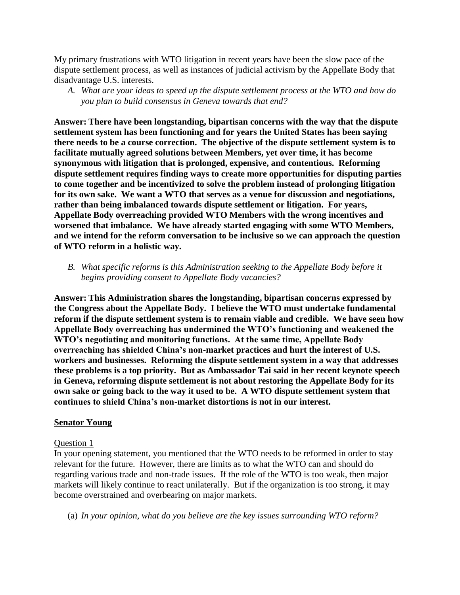My primary frustrations with WTO litigation in recent years have been the slow pace of the dispute settlement process, as well as instances of judicial activism by the Appellate Body that disadvantage U.S. interests.

*A. What are your ideas to speed up the dispute settlement process at the WTO and how do you plan to build consensus in Geneva towards that end?*

**Answer: There have been longstanding, bipartisan concerns with the way that the dispute settlement system has been functioning and for years the United States has been saying there needs to be a course correction. The objective of the dispute settlement system is to facilitate mutually agreed solutions between Members, yet over time, it has become synonymous with litigation that is prolonged, expensive, and contentious. Reforming dispute settlement requires finding ways to create more opportunities for disputing parties to come together and be incentivized to solve the problem instead of prolonging litigation for its own sake. We want a WTO that serves as a venue for discussion and negotiations, rather than being imbalanced towards dispute settlement or litigation. For years, Appellate Body overreaching provided WTO Members with the wrong incentives and worsened that imbalance. We have already started engaging with some WTO Members, and we intend for the reform conversation to be inclusive so we can approach the question of WTO reform in a holistic way.**

*B. What specific reforms is this Administration seeking to the Appellate Body before it begins providing consent to Appellate Body vacancies?* 

**Answer: This Administration shares the longstanding, bipartisan concerns expressed by the Congress about the Appellate Body. I believe the WTO must undertake fundamental reform if the dispute settlement system is to remain viable and credible. We have seen how Appellate Body overreaching has undermined the WTO's functioning and weakened the WTO's negotiating and monitoring functions. At the same time, Appellate Body overreaching has shielded China's non-market practices and hurt the interest of U.S. workers and businesses. Reforming the dispute settlement system in a way that addresses these problems is a top priority. But as Ambassador Tai said in her recent keynote speech in Geneva, reforming dispute settlement is not about restoring the Appellate Body for its own sake or going back to the way it used to be. A WTO dispute settlement system that continues to shield China's non-market distortions is not in our interest.**

### **Senator Young**

### Question 1

In your opening statement, you mentioned that the WTO needs to be reformed in order to stay relevant for the future. However, there are limits as to what the WTO can and should do regarding various trade and non-trade issues. If the role of the WTO is too weak, then major markets will likely continue to react unilaterally. But if the organization is too strong, it may become overstrained and overbearing on major markets.

(a) *In your opinion, what do you believe are the key issues surrounding WTO reform?*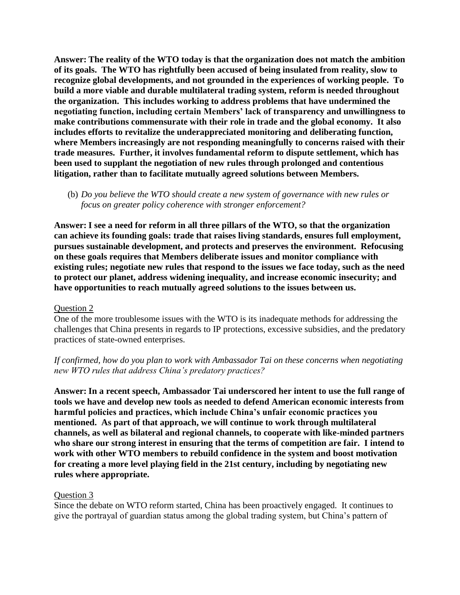**Answer: The reality of the WTO today is that the organization does not match the ambition of its goals. The WTO has rightfully been accused of being insulated from reality, slow to recognize global developments, and not grounded in the experiences of working people. To build a more viable and durable multilateral trading system, reform is needed throughout the organization. This includes working to address problems that have undermined the negotiating function, including certain Members' lack of transparency and unwillingness to make contributions commensurate with their role in trade and the global economy. It also includes efforts to revitalize the underappreciated monitoring and deliberating function, where Members increasingly are not responding meaningfully to concerns raised with their trade measures. Further, it involves fundamental reform to dispute settlement, which has been used to supplant the negotiation of new rules through prolonged and contentious litigation, rather than to facilitate mutually agreed solutions between Members.**

(b) *Do you believe the WTO should create a new system of governance with new rules or focus on greater policy coherence with stronger enforcement?*

**Answer: I see a need for reform in all three pillars of the WTO, so that the organization can achieve its founding goals: trade that raises living standards, ensures full employment, pursues sustainable development, and protects and preserves the environment. Refocusing on these goals requires that Members deliberate issues and monitor compliance with existing rules; negotiate new rules that respond to the issues we face today, such as the need to protect our planet, address widening inequality, and increase economic insecurity; and have opportunities to reach mutually agreed solutions to the issues between us.**

### Question 2

One of the more troublesome issues with the WTO is its inadequate methods for addressing the challenges that China presents in regards to IP protections, excessive subsidies, and the predatory practices of state-owned enterprises.

## *If confirmed, how do you plan to work with Ambassador Tai on these concerns when negotiating new WTO rules that address China's predatory practices?*

**Answer: In a recent speech, Ambassador Tai underscored her intent to use the full range of tools we have and develop new tools as needed to defend American economic interests from harmful policies and practices, which include China's unfair economic practices you mentioned. As part of that approach, we will continue to work through multilateral channels, as well as bilateral and regional channels, to cooperate with like-minded partners who share our strong interest in ensuring that the terms of competition are fair. I intend to work with other WTO members to rebuild confidence in the system and boost motivation for creating a more level playing field in the 21st century, including by negotiating new rules where appropriate.**

### Question 3

Since the debate on WTO reform started, China has been proactively engaged. It continues to give the portrayal of guardian status among the global trading system, but China's pattern of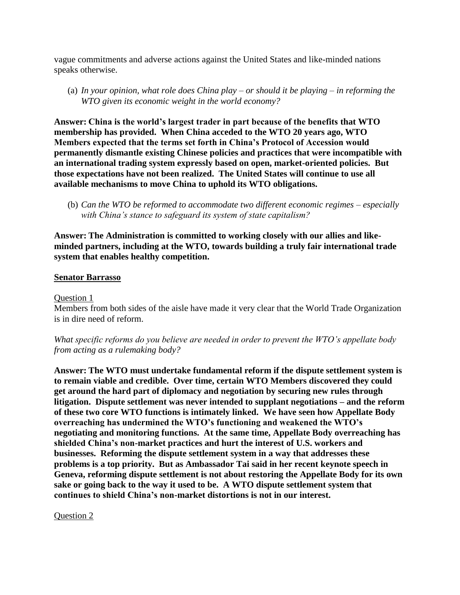vague commitments and adverse actions against the United States and like-minded nations speaks otherwise.

(a) *In your opinion, what role does China play – or should it be playing – in reforming the WTO given its economic weight in the world economy?* 

**Answer: China is the world's largest trader in part because of the benefits that WTO membership has provided. When China acceded to the WTO 20 years ago, WTO Members expected that the terms set forth in China's Protocol of Accession would permanently dismantle existing Chinese policies and practices that were incompatible with an international trading system expressly based on open, market-oriented policies. But those expectations have not been realized. The United States will continue to use all available mechanisms to move China to uphold its WTO obligations.**

(b) *Can the WTO be reformed to accommodate two different economic regimes – especially with China's stance to safeguard its system of state capitalism?* 

**Answer: The Administration is committed to working closely with our allies and likeminded partners, including at the WTO, towards building a truly fair international trade system that enables healthy competition.**

### **Senator Barrasso**

#### Question 1

Members from both sides of the aisle have made it very clear that the World Trade Organization is in dire need of reform.

*What specific reforms do you believe are needed in order to prevent the WTO's appellate body from acting as a rulemaking body?*

**Answer: The WTO must undertake fundamental reform if the dispute settlement system is to remain viable and credible. Over time, certain WTO Members discovered they could get around the hard part of diplomacy and negotiation by securing new rules through litigation. Dispute settlement was never intended to supplant negotiations – and the reform of these two core WTO functions is intimately linked. We have seen how Appellate Body overreaching has undermined the WTO's functioning and weakened the WTO's negotiating and monitoring functions. At the same time, Appellate Body overreaching has shielded China's non-market practices and hurt the interest of U.S. workers and businesses. Reforming the dispute settlement system in a way that addresses these problems is a top priority. But as Ambassador Tai said in her recent keynote speech in Geneva, reforming dispute settlement is not about restoring the Appellate Body for its own sake or going back to the way it used to be. A WTO dispute settlement system that continues to shield China's non-market distortions is not in our interest.**

Question 2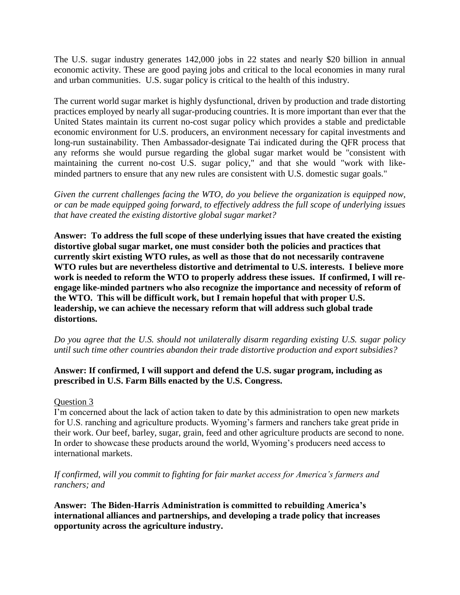The U.S. sugar industry generates 142,000 jobs in 22 states and nearly \$20 billion in annual economic activity. These are good paying jobs and critical to the local economies in many rural and urban communities. U.S. sugar policy is critical to the health of this industry.

The current world sugar market is highly dysfunctional, driven by production and trade distorting practices employed by nearly all sugar-producing countries. It is more important than ever that the United States maintain its current no-cost sugar policy which provides a stable and predictable economic environment for U.S. producers, an environment necessary for capital investments and long-run sustainability. Then Ambassador-designate Tai indicated during the QFR process that any reforms she would pursue regarding the global sugar market would be "consistent with maintaining the current no-cost U.S. sugar policy," and that she would "work with likeminded partners to ensure that any new rules are consistent with U.S. domestic sugar goals."

*Given the current challenges facing the WTO, do you believe the organization is equipped now, or can be made equipped going forward, to effectively address the full scope of underlying issues that have created the existing distortive global sugar market?* 

**Answer: To address the full scope of these underlying issues that have created the existing distortive global sugar market, one must consider both the policies and practices that currently skirt existing WTO rules, as well as those that do not necessarily contravene WTO rules but are nevertheless distortive and detrimental to U.S. interests. I believe more work is needed to reform the WTO to properly address these issues. If confirmed, I will reengage like-minded partners who also recognize the importance and necessity of reform of the WTO. This will be difficult work, but I remain hopeful that with proper U.S. leadership, we can achieve the necessary reform that will address such global trade distortions.** 

*Do you agree that the U.S. should not unilaterally disarm regarding existing U.S. sugar policy until such time other countries abandon their trade distortive production and export subsidies?*

## **Answer: If confirmed, I will support and defend the U.S. sugar program, including as prescribed in U.S. Farm Bills enacted by the U.S. Congress.**

# Question 3

I'm concerned about the lack of action taken to date by this administration to open new markets for U.S. ranching and agriculture products. Wyoming's farmers and ranchers take great pride in their work. Our beef, barley, sugar, grain, feed and other agriculture products are second to none. In order to showcase these products around the world, Wyoming's producers need access to international markets.

## *If confirmed, will you commit to fighting for fair market access for America's farmers and ranchers; and*

**Answer: The Biden-Harris Administration is committed to rebuilding America's international alliances and partnerships, and developing a trade policy that increases opportunity across the agriculture industry.**